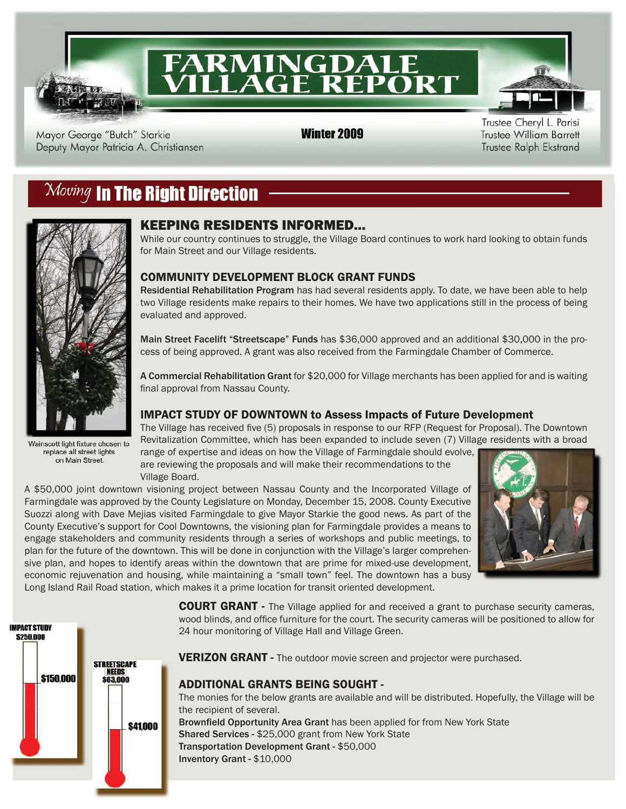

# **FARMINGDALE<br>VILLAGE REPORT**

Mayor George "Butch" Starkie Deputy Mayor Patricia A. Christiansen **Winter 2009** 

Trustee Cheryl L. Parisi **Trustee William Barrett** Trustee Ralph Ekstrand

## $\mathcal{M}oving$  in The Right Direction



Wainscott light fixture chosen to replace all street lights on Main Street.

## KEEPING RESIDENTS INFORMED...

While our country continues to struggle, the Village Board continues to work hard looking to obtain funds for Main Street and our Village residents.

## COMMUNITY DEVELOPMENT BLOCK GRANT FUNDS

Residential Rehabilitation Program has had several residents apply. To date, we have been able to help two Village residents make repairs to their homes. We have two applications still in the process of being evaluated and approved.

Main Street Facelift "Streetscape" Funds has \$36,000 approved and an additional \$30,000 in the process of being approved. A grant was also received from the Farmingdale Chamber of Commerce.

A Commercial Rehabilitation Grant for \$20,000 for Village merchants has been applied for and is waiting final approval from Nassau County.

## IMPACT STUDY OF DOWNTOWN to Assess Impacts of Future Development

The Village has received five (5) proposals in response to our RFP (Request for Proposal). The Downtown Revitalization Committee, which has been expanded to include seven (7) Village residents with a broad

range of expertise and ideas on how the Village of Farmingdale should evolve, are reviewing the proposals and will make their recommendations to the Village Board.

A \$50,000 joint downtown visioning project between Nassau County and the Incorporated Village of Farmingdale was approved by the County Legislature on Monday, December 15, 2008. County Executive Suozzi along with Dave Mejias visited Farmingdale to give Mayor Starkie the good news. As part of the County Executive's support for Cool Downtowns, the visioning plan for Farmingdale provides a means to engage stakeholders and community residents through a series of workshops and public meetings, to plan for the future of the downtown. This will be done in conjunction with the Village's larger comprehensive plan, and hopes to identify areas within the downtown that are prime for mixed-use development, economic rejuvenation and housing, while maintaining a "small town" feel. The downtown has a busy Long Island Rail Road station, which makes it a prime location for transit oriented development.





**COURT GRANT** - The Village applied for and received a grant to purchase security cameras, wood blinds, and office furniture for the court. The security cameras will be positioned to allow for 24 hour monitoring of Village Hall and Village Green.

VERIZON GRANT - The outdoor movie screen and projector were purchased.

## ADDITIONAL GRANTS BEING SOUGHT -

The monies for the below grants are available and will be distributed. Hopefully, the Village will be the recipient of several. Brownfield Opportunity Area Grant has been applied for from New York State

Shared Services - \$25,000 grant from New York State

Transportation Development Grant - \$50,000 Inventory Grant - \$10,000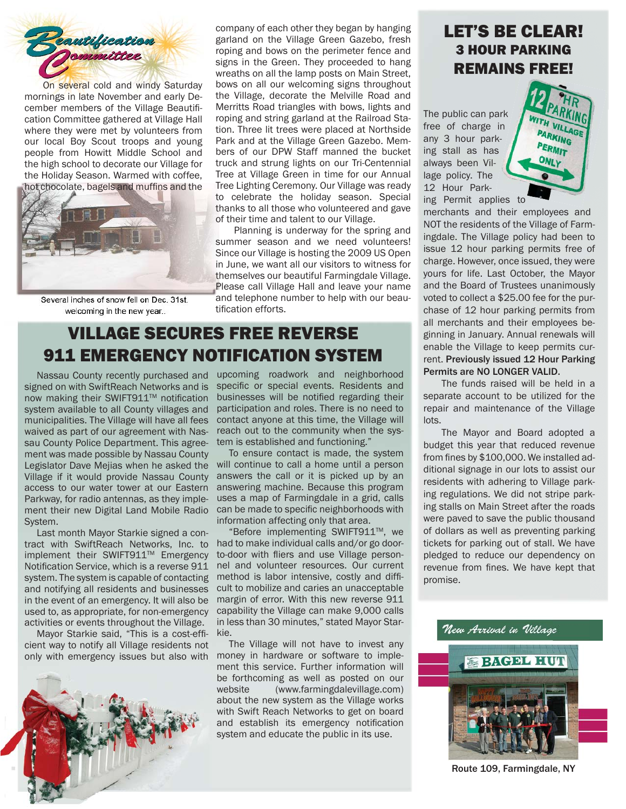

On several cold and windy Saturday mornings in late November and early December members of the Village Beautification Committee gathered at Village Hall where they were met by volunteers from our local Boy Scout troops and young people from Howitt Middle School and the high school to decorate our Village for the Holiday Season. Warmed with coffee, hot chocolate, bagels and muffins and the



Several inches of snow fell on Dec. 31st. welcoming in the new year...

company of each other they began by hanging garland on the Village Green Gazebo, fresh roping and bows on the perimeter fence and signs in the Green. They proceeded to hang wreaths on all the lamp posts on Main Street, bows on all our welcoming signs throughout the Village, decorate the Melville Road and Merritts Road triangles with bows, lights and roping and string garland at the Railroad Station. Three lit trees were placed at Northside Park and at the Village Green Gazebo. Members of our DPW Staff manned the bucket truck and strung lights on our Tri-Centennial Tree at Village Green in time for our Annual Tree Lighting Ceremony. Our Village was ready to celebrate the holiday season. Special thanks to all those who volunteered and gave of their time and talent to our Village.

 Planning is underway for the spring and summer season and we need volunteers! Since our Village is hosting the 2009 US Open in June, we want all our visitors to witness for themselves our beautiful Farmingdale Village. Please call Village Hall and leave your name and telephone number to help with our beautification efforts.

## VILLAGE SECURES FREE REVERSE 911 EMERGENCY NOTIFICATION SYSTEM

 Nassau County recently purchased and signed on with SwiftReach Networks and is now making their SWIFT911™ notification system available to all County villages and municipalities. The Village will have all fees waived as part of our agreement with Nassau County Police Department. This agreement was made possible by Nassau County Legislator Dave Mejias when he asked the Village if it would provide Nassau County access to our water tower at our Eastern Parkway, for radio antennas, as they implement their new Digital Land Mobile Radio System.

 Last month Mayor Starkie signed a contract with SwiftReach Networks, Inc. to implement their SWIFT911™ Emergency Notification Service, which is a reverse 911 system. The system is capable of contacting and notifying all residents and businesses in the event of an emergency. It will also be used to, as appropriate, for non-emergency activities or events throughout the Village.

Mayor Starkie said, "This is a cost-efficient way to notify all Village residents not only with emergency issues but also with



upcoming roadwork and neighborhood specific or special events. Residents and businesses will be notified regarding their participation and roles. There is no need to contact anyone at this time, the Village will reach out to the community when the system is established and functioning."

 To ensure contact is made, the system will continue to call a home until a person answers the call or it is picked up by an answering machine. Because this program uses a map of Farmingdale in a grid, calls can be made to specific neighborhoods with information affecting only that area.

 "Before implementing SWIFT911TM, we had to make individual calls and/or go doorto-door with fliers and use Village personnel and volunteer resources. Our current method is labor intensive, costly and difficult to mobilize and caries an unacceptable margin of error. With this new reverse 911 capability the Village can make 9,000 calls in less than 30 minutes," stated Mayor Starkie.

 The Village will not have to invest any money in hardware or software to implement this service. Further information will be forthcoming as well as posted on our website (www.farmingdalevillage.com) about the new system as the Village works with Swift Reach Networks to get on board and establish its emergency notification system and educate the public in its use.

## LET'S BE CLEAR! 3 HOUR PARKING REMAINS FREE!

The public can park free of charge in any 3 hour parking stall as has always been Village policy. The 12 Hour Parking Permit applies to



merchants and their employees and NOT the residents of the Village of Farmingdale. The Village policy had been to issue 12 hour parking permits free of charge. However, once issued, they were yours for life. Last October, the Mayor and the Board of Trustees unanimously voted to collect a \$25.00 fee for the purchase of 12 hour parking permits from all merchants and their employees beginning in January. Annual renewals will enable the Village to keep permits current. Previously issued 12 Hour Parking Permits are NO LONGER VALID.

The funds raised will be held in a separate account to be utilized for the repair and maintenance of the Village lots.

 The Mayor and Board adopted a budget this year that reduced revenue from fines by \$100,000. We installed additional signage in our lots to assist our residents with adhering to Village parking regulations. We did not stripe parking stalls on Main Street after the roads were paved to save the public thousand of dollars as well as preventing parking tickets for parking out of stall. We have pledged to reduce our dependency on revenue from fines. We have kept that promise.

New Arrival in Village **BACDI HUI** 

Route 109, Farmingdale, NY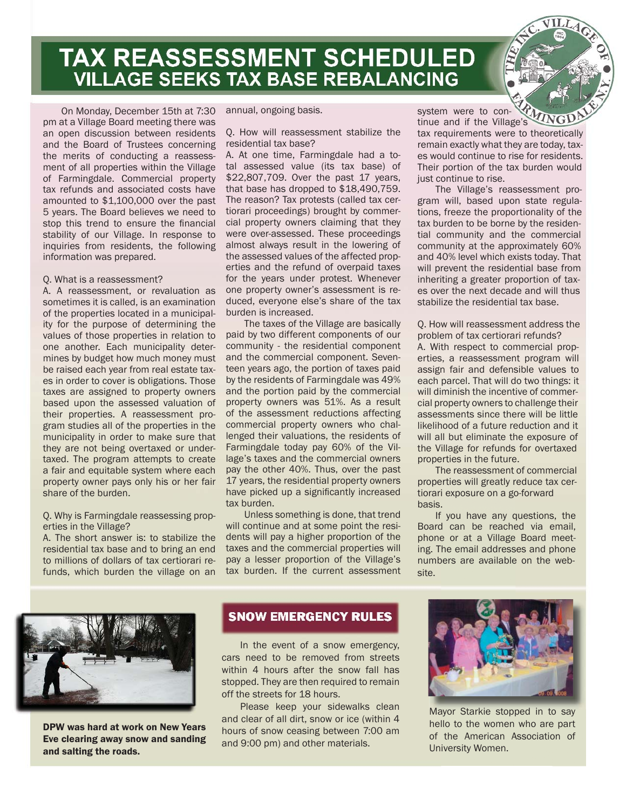**TAX REASSESSMENT SCHEDULED VILLAGE SEEKS TAX BASE REBALANCING** 

On Monday, December 15th at 7:30 pm at a Village Board meeting there was an open discussion between residents and the Board of Trustees concerning the merits of conducting a reassessment of all properties within the Village of Farmingdale. Commercial property tax refunds and associated costs have amounted to \$1,100,000 over the past 5 years. The Board believes we need to stop this trend to ensure the financial stability of our Village. In response to inquiries from residents, the following information was prepared.

#### Q. What is a reassessment?

A. A reassessment, or revaluation as sometimes it is called, is an examination of the properties located in a municipality for the purpose of determining the values of those properties in relation to one another. Each municipality determines by budget how much money must be raised each year from real estate taxes in order to cover is obligations. Those taxes are assigned to property owners based upon the assessed valuation of their properties. A reassessment program studies all of the properties in the municipality in order to make sure that they are not being overtaxed or undertaxed. The program attempts to create a fair and equitable system where each property owner pays only his or her fair share of the burden.

### Q. Why is Farmingdale reassessing properties in the Village?

A. The short answer is: to stabilize the residential tax base and to bring an end to millions of dollars of tax certiorari refunds, which burden the village on an annual, ongoing basis.

#### Q. How will reassessment stabilize the residential tax base?

A. At one time, Farmingdale had a total assessed value (its tax base) of \$22,807,709. Over the past 17 years, that base has dropped to \$18,490,759. The reason? Tax protests (called tax certiorari proceedings) brought by commercial property owners claiming that they were over-assessed. These proceedings almost always result in the lowering of the assessed values of the affected properties and the refund of overpaid taxes for the years under protest. Whenever one property owner's assessment is reduced, everyone else's share of the tax burden is increased.

 The taxes of the Village are basically paid by two different components of our community - the residential component and the commercial component. Seventeen years ago, the portion of taxes paid by the residents of Farmingdale was 49% and the portion paid by the commercial property owners was 51%. As a result of the assessment reductions affecting commercial property owners who challenged their valuations, the residents of Farmingdale today pay 60% of the Village's taxes and the commercial owners pay the other 40%. Thus, over the past 17 years, the residential property owners have picked up a significantly increased tax burden.

 Unless something is done, that trend will continue and at some point the residents will pay a higher proportion of the taxes and the commercial properties will pay a lesser proportion of the Village's tax burden. If the current assessment tinue and if the Village's tax requirements were to theoretically remain exactly what they are today, taxes would continue to rise for residents. Their portion of the tax burden would just continue to rise.

system were to con-

 The Village's reassessment program will, based upon state regulations, freeze the proportionality of the tax burden to be borne by the residential community and the commercial community at the approximately 60% and 40% level which exists today. That will prevent the residential base from inheriting a greater proportion of taxes over the next decade and will thus stabilize the residential tax base.

Q. How will reassessment address the problem of tax certiorari refunds?

A. With respect to commercial properties, a reassessment program will assign fair and defensible values to each parcel. That will do two things: it will diminish the incentive of commercial property owners to challenge their assessments since there will be little likelihood of a future reduction and it will all but eliminate the exposure of the Village for refunds for overtaxed properties in the future.

 The reassessment of commercial properties will greatly reduce tax certiorari exposure on a go-forward basis.

 If you have any questions, the Board can be reached via email, phone or at a Village Board meeting. The email addresses and phone numbers are available on the website.



DPW was hard at work on New Years Eve clearing away snow and sanding and salting the roads.

### **SNOW EMERGENCY RULES**

 In the event of a snow emergency, cars need to be removed from streets within 4 hours after the snow fall has stopped. They are then required to remain off the streets for 18 hours.

 Please keep your sidewalks clean and clear of all dirt, snow or ice (within 4 hours of snow ceasing between 7:00 am and 9:00 pm) and other materials.



Mayor Starkie stopped in to say hello to the women who are part of the American Association of University Women.